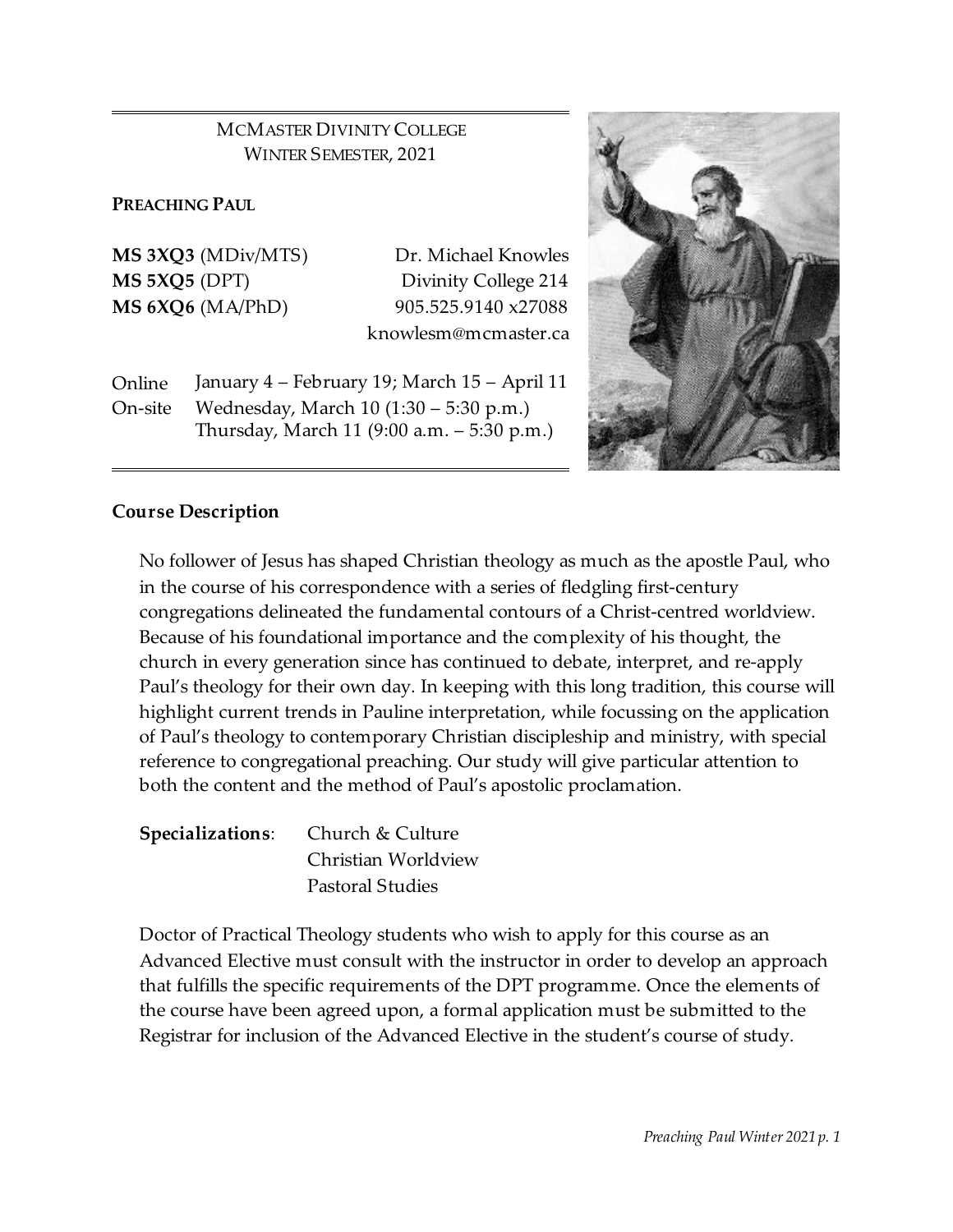# MCMASTER DIVINITY COLLEGE WINTER SEMESTER, 2021

#### **PREACHING PAUL**

**MS 3XQ3** (MDiv/MTS) Dr. Michael Knowles

**MS 5XQ5** (DPT) Divinity College 214 **MS 6XQ6** (MA/PhD) 905.525.9140 x27088 knowlesm@mcmaster.ca

Online January 4 – February 19; March 15 – April 11 On-site Wednesday, March 10 (1:30 – 5:30 p.m.) Thursday, March 11 (9:00 a.m. – 5:30 p.m.)



### **Course Description**

No follower of Jesus has shaped Christian theology as much as the apostle Paul, who in the course of his correspondence with a series of fledgling first-century congregations delineated the fundamental contours of a Christ-centred worldview. Because of his foundational importance and the complexity of his thought, the church in every generation since has continued to debate, interpret, and re-apply Paul's theology for their own day. In keeping with this long tradition, this course will highlight current trends in Pauline interpretation, while focussing on the application of Paul's theology to contemporary Christian discipleship and ministry, with special reference to congregational preaching. Our study will give particular attention to both the content and the method of Paul's apostolic proclamation.

| Specializations: Church & Culture |  |  |
|-----------------------------------|--|--|
| Christian Worldview               |  |  |
| <b>Pastoral Studies</b>           |  |  |

Doctor of Practical Theology students who wish to apply for this course as an Advanced Elective must consult with the instructor in order to develop an approach that fulfills the specific requirements of the DPT programme. Once the elements of the course have been agreed upon, a formal application must be submitted to the Registrar for inclusion of the Advanced Elective in the student's course of study.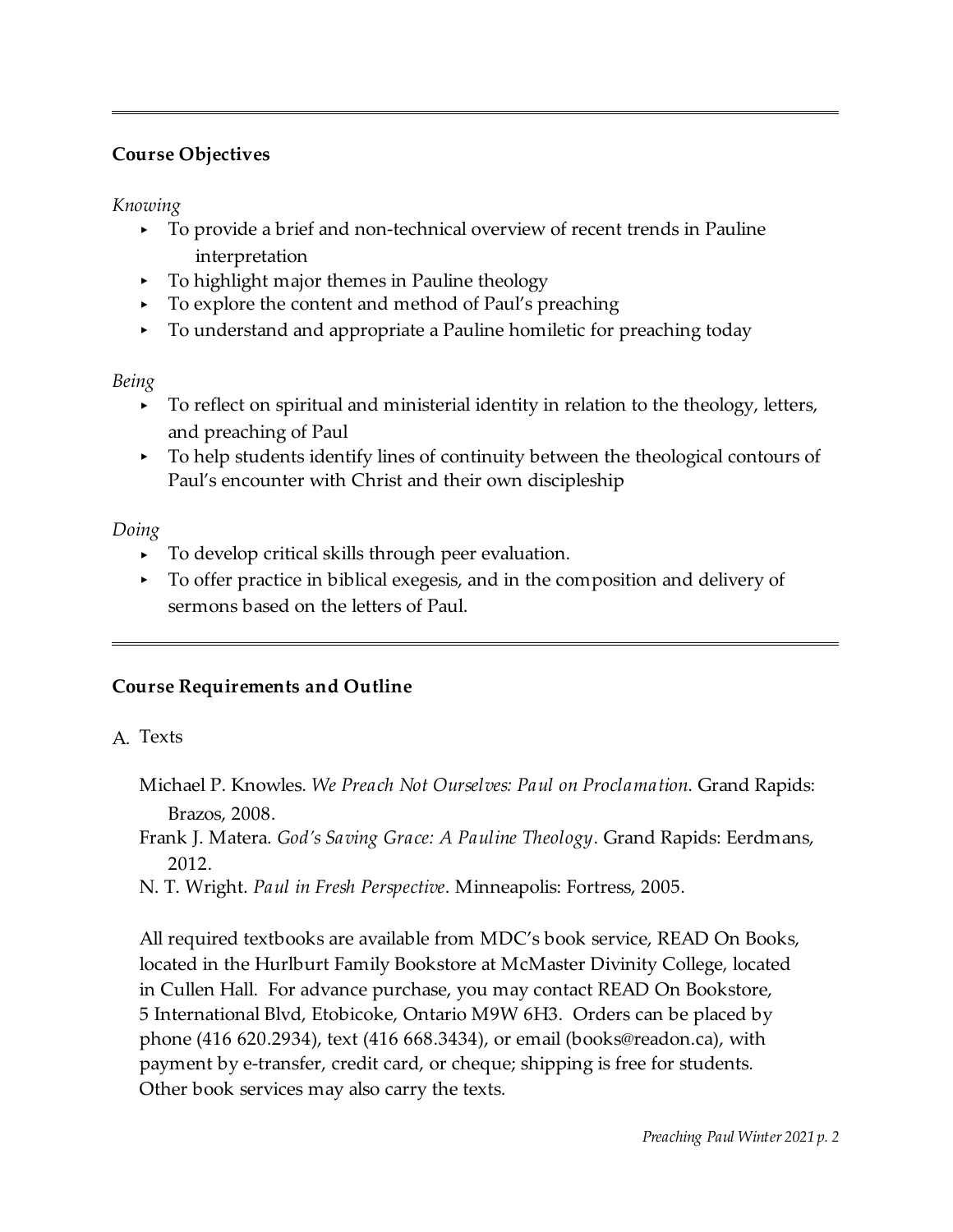## **Course Objectives**

*Knowing*

- < To provide a brief and non-technical overview of recent trends in Pauline interpretation
- < To highlight major themes in Pauline theology
- < To explore the content and method of Paul's preaching
- < To understand and appropriate a Pauline homiletic for preaching today

## *Being*

- < To reflect on spiritual and ministerial identity in relation to the theology, letters, and preaching of Paul
- < To help students identify lines of continuity between the theological contours of Paul's encounter with Christ and their own discipleship

## *Doing*

- < To develop critical skills through peer evaluation.
- To offer practice in biblical exegesis, and in the composition and delivery of sermons based on the letters of Paul.

# **Course Requirements and Outline**

- A. Texts
	- Michael P. Knowles. *We Preach Not Ourselves: Paul on Proclamation*. Grand Rapids: Brazos, 2008.
	- Frank J. Matera. *God's Saving Grace: A Pauline Theology*. Grand Rapids: Eerdmans, 2012.
	- N. T. Wright. *Paul in Fresh Perspective*. Minneapolis: Fortress, 2005.

All required textbooks are available from MDC's book service, READ On Books, located in the Hurlburt Family Bookstore at McMaster Divinity College, located in Cullen Hall. For advance purchase, you may contact READ On Bookstore, 5 International Blvd, Etobicoke, Ontario M9W 6H3. Orders can be placed by phone (416 620.2934), text (416 668.3434), or email (books@readon.ca), with payment by e-transfer, credit card, or cheque; shipping is free for students. Other book services may also carry the texts.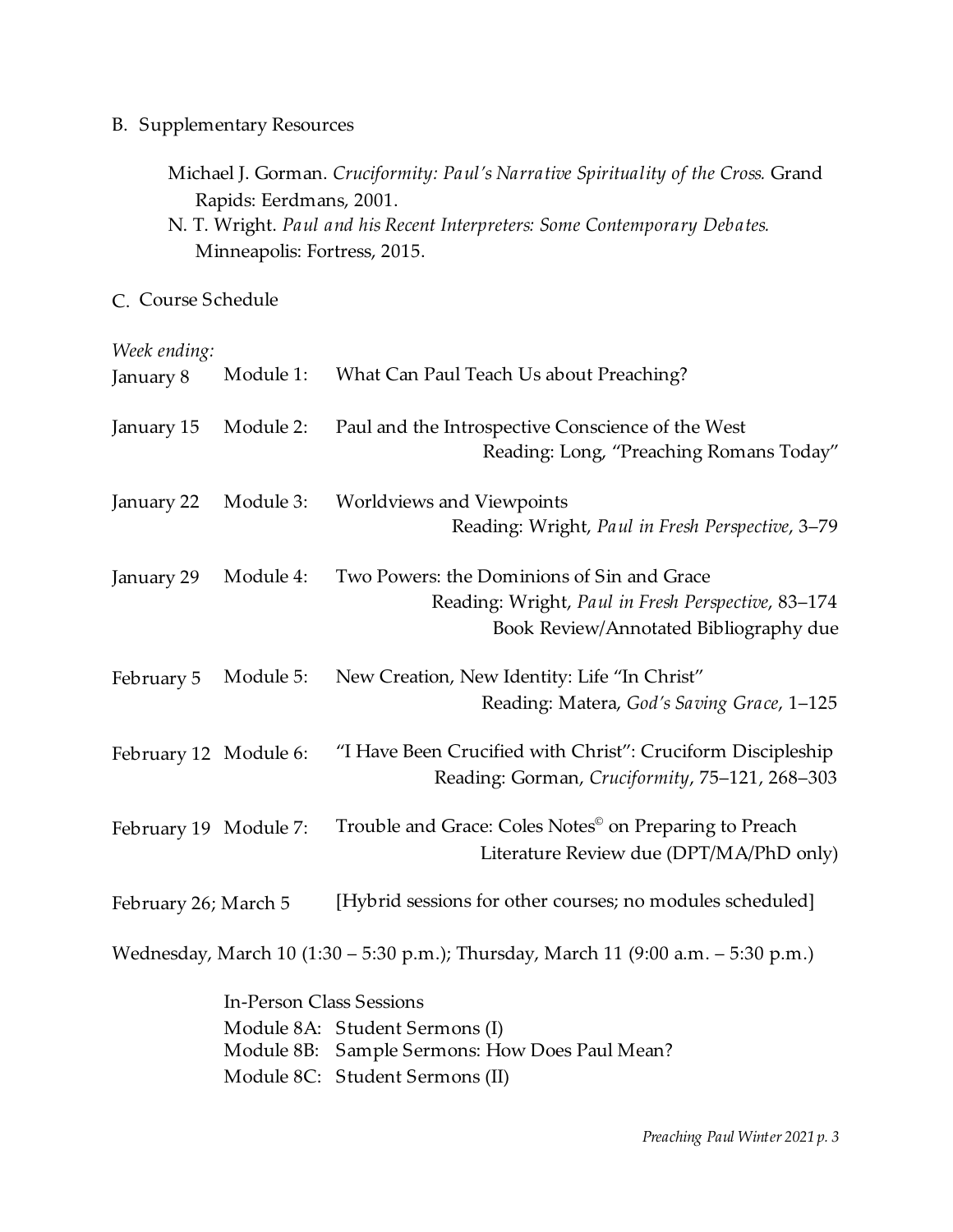B. Supplementary Resources

| Michael J. Gorman. Cruciformity: Paul's Narrative Spirituality of the Cross. Grand |  |  |  |
|------------------------------------------------------------------------------------|--|--|--|
| Rapids: Eerdmans, 2001.                                                            |  |  |  |

C. Course Schedule

#### *Week ending:*

| January 8             | Module 1:                       | What Can Paul Teach Us about Preaching?                                                                                                    |
|-----------------------|---------------------------------|--------------------------------------------------------------------------------------------------------------------------------------------|
| January 15            | Module 2:                       | Paul and the Introspective Conscience of the West<br>Reading: Long, "Preaching Romans Today"                                               |
| January 22            | Module 3:                       | <b>Worldviews and Viewpoints</b><br>Reading: Wright, Paul in Fresh Perspective, 3-79                                                       |
| January 29            | Module 4:                       | Two Powers: the Dominions of Sin and Grace<br>Reading: Wright, Paul in Fresh Perspective, 83-174<br>Book Review/Annotated Bibliography due |
| February 5            | Module 5:                       | New Creation, New Identity: Life "In Christ"<br>Reading: Matera, God's Saving Grace, 1-125                                                 |
| February 12 Module 6: |                                 | "I Have Been Crucified with Christ": Cruciform Discipleship<br>Reading: Gorman, Cruciformity, 75-121, 268-303                              |
| February 19 Module 7: |                                 | Trouble and Grace: Coles Notes <sup>®</sup> on Preparing to Preach<br>Literature Review due (DPT/MA/PhD only)                              |
| February 26; March 5  |                                 | [Hybrid sessions for other courses; no modules scheduled]                                                                                  |
|                       |                                 | Wednesday, March 10 (1:30 – 5:30 p.m.); Thursday, March 11 (9:00 a.m. – 5:30 p.m.)                                                         |
|                       | <b>In-Person Class Sessions</b> |                                                                                                                                            |
|                       |                                 | Module 8A: Student Sermons (I)<br>Module 8B: Sample Sermons: How Does Paul Mean?                                                           |

Module 8C: Student Sermons (II)

N. T. Wright. *Paul and his Recent Interpreters: Some Contemporary Debates.* Minneapolis: Fortress, 2015.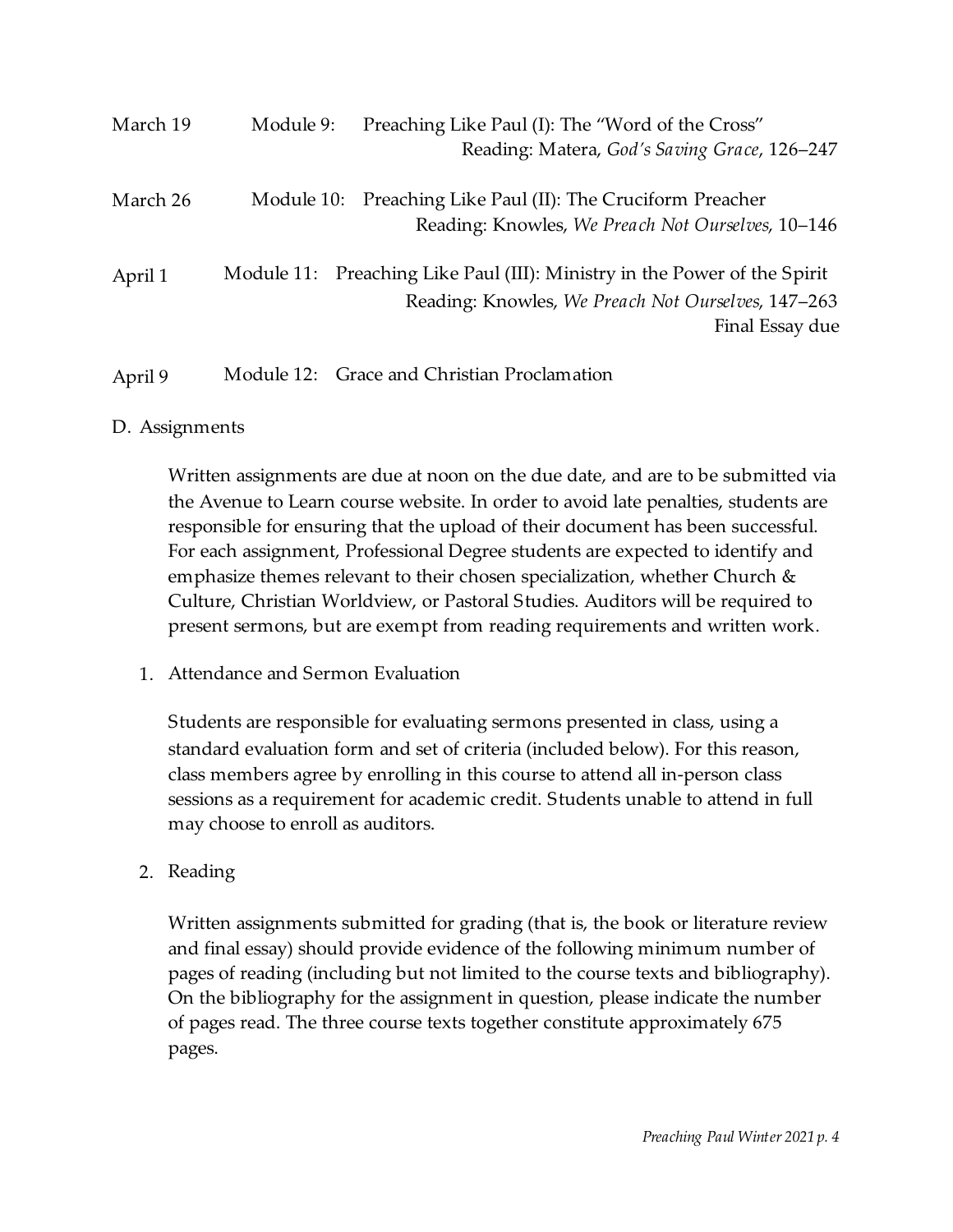| March 19 | Module 9: | Preaching Like Paul (I): The "Word of the Cross"<br>Reading: Matera, God's Saving Grace, 126-247                                                   |
|----------|-----------|----------------------------------------------------------------------------------------------------------------------------------------------------|
| March 26 |           | Module 10: Preaching Like Paul (II): The Cruciform Preacher<br>Reading: Knowles, We Preach Not Ourselves, 10–146                                   |
| April 1  |           | Module 11: Preaching Like Paul (III): Ministry in the Power of the Spirit<br>Reading: Knowles, We Preach Not Ourselves, 147–263<br>Final Essay due |
| April 9  |           | Module 12: Grace and Christian Proclamation                                                                                                        |

### D. Assignments

Written assignments are due at noon on the due date, and are to be submitted via the Avenue to Learn course website. In order to avoid late penalties, students are responsible for ensuring that the upload of their document has been successful. For each assignment, Professional Degree students are expected to identify and emphasize themes relevant to their chosen specialization, whether Church  $\&$ Culture, Christian Worldview, or Pastoral Studies. Auditors will be required to present sermons, but are exempt from reading requirements and written work.

1. Attendance and Sermon Evaluation

Students are responsible for evaluating sermons presented in class, using a standard evaluation form and set of criteria (included below). For this reason, class members agree by enrolling in this course to attend all in-person class sessions as a requirement for academic credit. Students unable to attend in full may choose to enroll as auditors.

### 2. Reading

Written assignments submitted for grading (that is, the book or literature review and final essay) should provide evidence of the following minimum number of pages of reading (including but not limited to the course texts and bibliography). On the bibliography for the assignment in question, please indicate the number of pages read. The three course texts together constitute approximately 675 pages.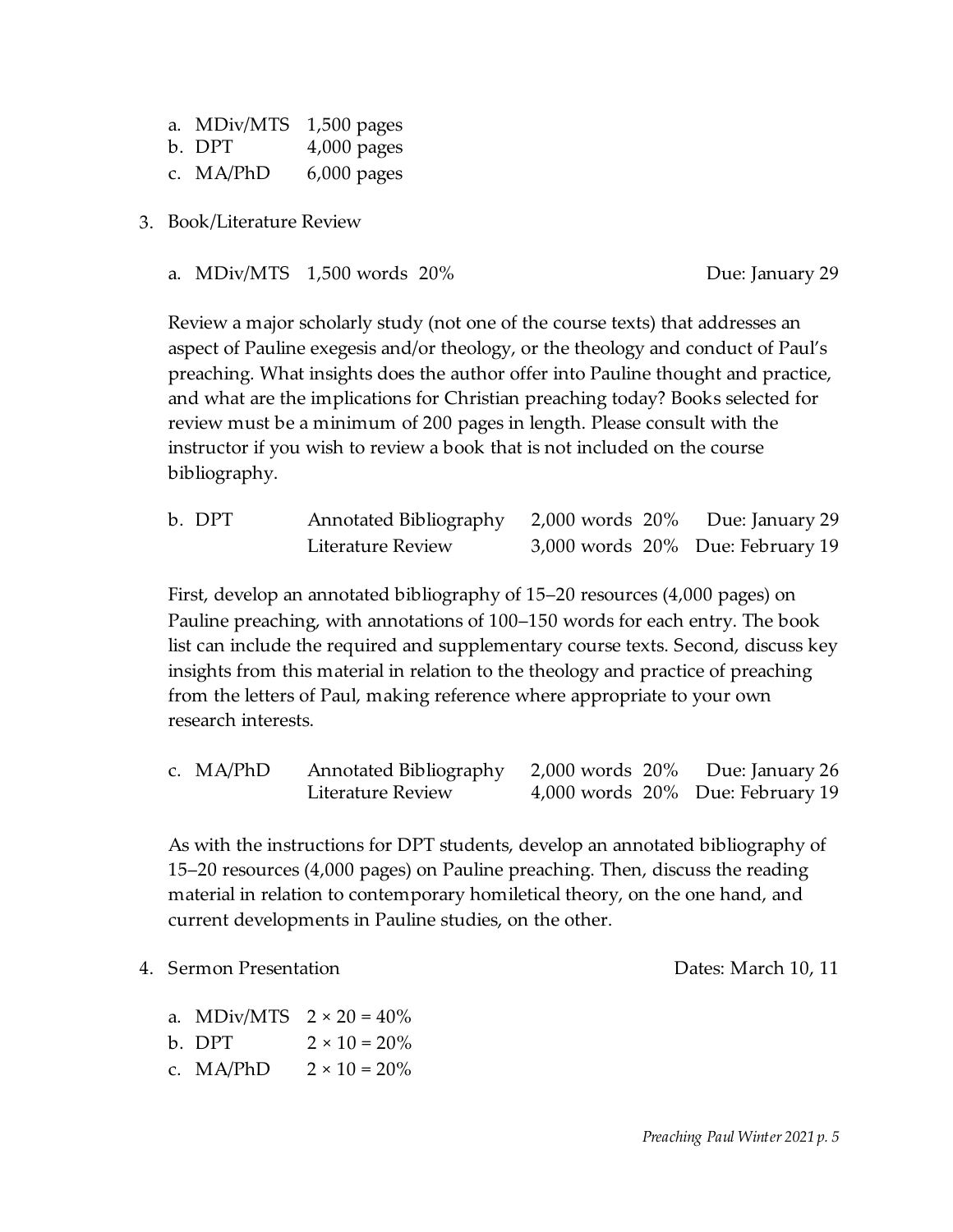| a. MDiv/MTS | $1,500$ pages |
|-------------|---------------|
| b. DPT      | $4,000$ pages |
| c. MA/PhD   | $6,000$ pages |

- 3. Book/Literature Review
	- a. MDiv/MTS 1,500 words 20% and the control of the United States and Due: January 29

Review a major scholarly study (not one of the course texts) that addresses an aspect of Pauline exegesis and/or theology, or the theology and conduct of Paul's preaching. What insights does the author offer into Pauline thought and practice, and what are the implications for Christian preaching today? Books selected for review must be a minimum of 200 pages in length. Please consult with the instructor if you wish to review a book that is not included on the course bibliography.

| b. DPT | Annotated Bibliography 2,000 words 20% Due: January 29 |                                  |  |  |
|--------|--------------------------------------------------------|----------------------------------|--|--|
|        | Literature Review                                      | 3,000 words 20% Due: February 19 |  |  |

First, develop an annotated bibliography of 15–20 resources (4,000 pages) on Pauline preaching, with annotations of 100–150 words for each entry. The book list can include the required and supplementary course texts. Second, discuss key insights from this material in relation to the theology and practice of preaching from the letters of Paul, making reference where appropriate to your own research interests.

c. MA/PhD Annotated Bibliography 2,000 words 20% Due: January 26 Literature Review 4,000 words 20% Due: February 19

As with the instructions for DPT students, develop an annotated bibliography of 15–20 resources (4,000 pages) on Pauline preaching. Then, discuss the reading material in relation to contemporary homiletical theory, on the one hand, and current developments in Pauline studies, on the other.

4. Sermon Presentation Dates: March 10, 11

- a. MDiv/MTS  $2 \times 20 = 40\%$
- b. DPT  $2 \times 10 = 20\%$
- c.  $MA/PhD$   $2 \times 10 = 20\%$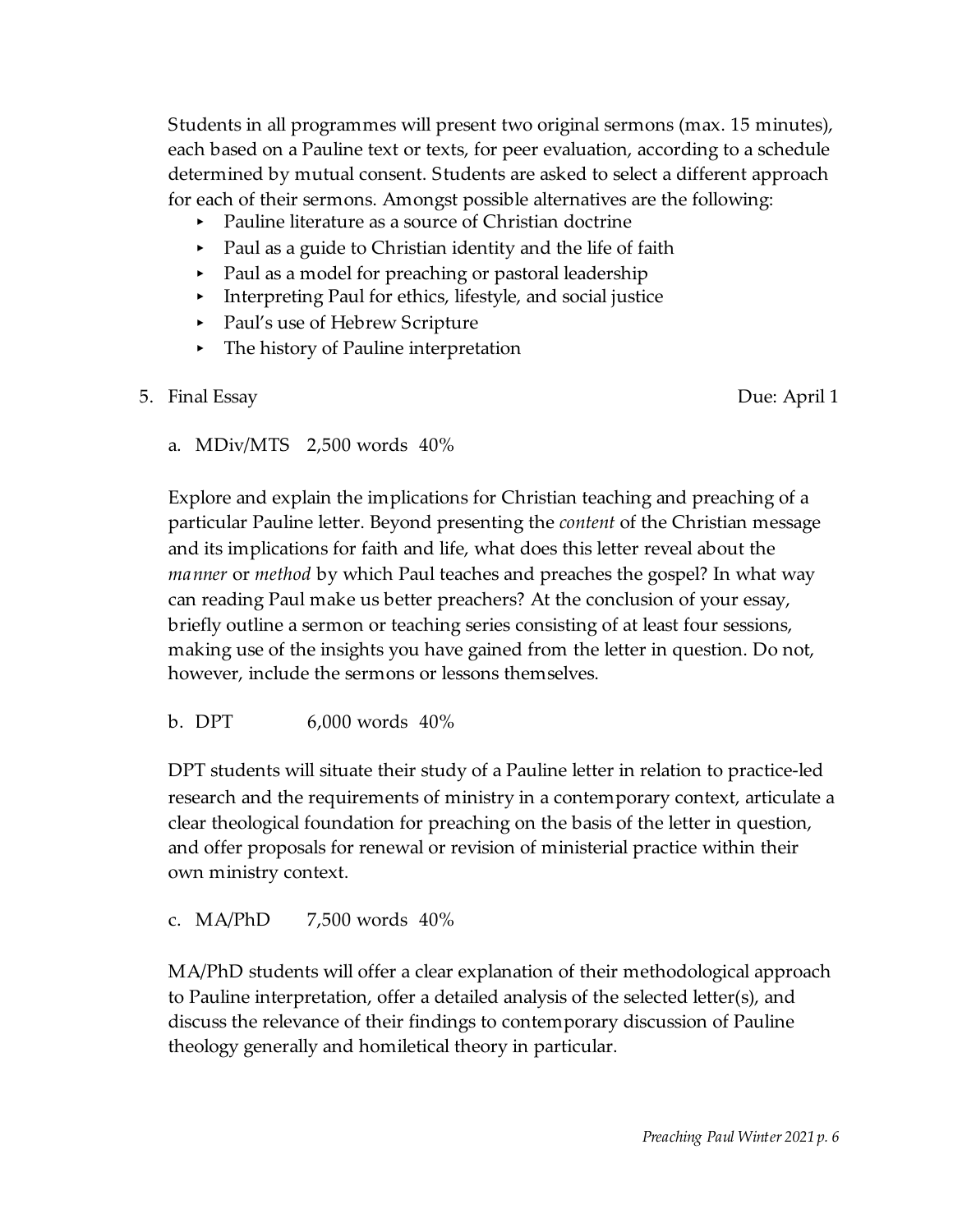Students in all programmes will present two original sermons (max. 15 minutes), each based on a Pauline text or texts, for peer evaluation, according to a schedule determined by mutual consent. Students are asked to select a different approach for each of their sermons. Amongst possible alternatives are the following:

- Pauline literature as a source of Christian doctrine
- < Paul as a guide to Christian identity and the life of faith
- < Paul as a model for preaching or pastoral leadership
- < Interpreting Paul for ethics, lifestyle, and social justice
- < Paul's use of Hebrew Scripture
- ▸ The history of Pauline interpretation
- 5. Final Essay Due: April 1

a. MDiv/MTS 2,500 words 40%

Explore and explain the implications for Christian teaching and preaching of a particular Pauline letter. Beyond presenting the *content* of the Christian message and its implications for faith and life, what does this letter reveal about the *manner* or *method* by which Paul teaches and preaches the gospel? In what way can reading Paul make us better preachers? At the conclusion of your essay, briefly outline a sermon or teaching series consisting of at least four sessions, making use of the insights you have gained from the letter in question. Do not, however, include the sermons or lessons themselves.

b. DPT 6,000 words 40%

DPT students will situate their study of a Pauline letter in relation to practice-led research and the requirements of ministry in a contemporary context, articulate a clear theological foundation for preaching on the basis of the letter in question, and offer proposals for renewal or revision of ministerial practice within their own ministry context.

## c. MA/PhD 7,500 words 40%

MA/PhD students will offer a clear explanation of their methodological approach to Pauline interpretation, offer a detailed analysis of the selected letter(s), and discuss the relevance of their findings to contemporary discussion of Pauline theology generally and homiletical theory in particular.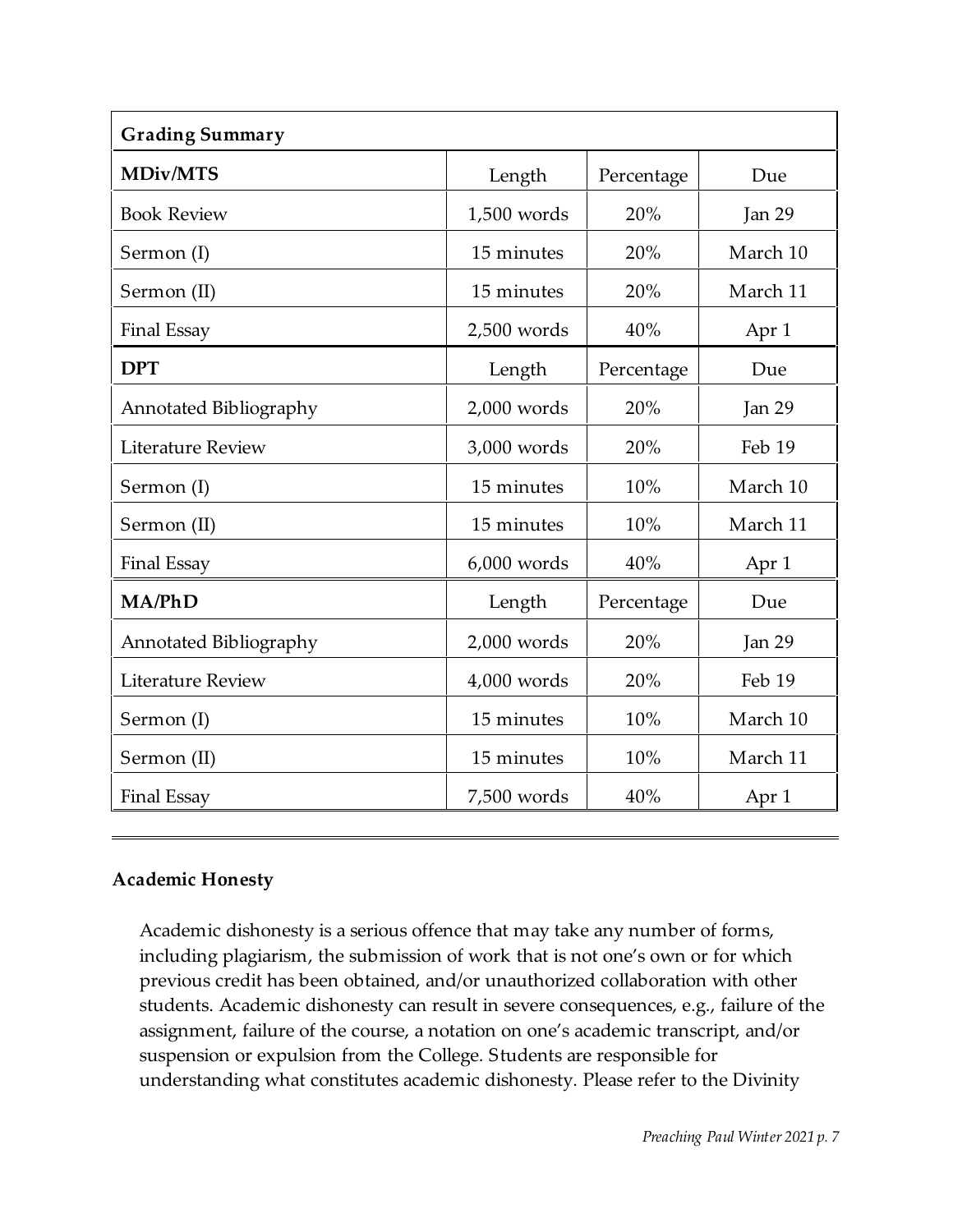| <b>Grading Summary</b>   |               |            |          |  |  |  |
|--------------------------|---------------|------------|----------|--|--|--|
| <b>MDiv/MTS</b>          | Length        | Percentage | Due      |  |  |  |
| <b>Book Review</b>       | 1,500 words   | 20%        | Jan 29   |  |  |  |
| Sermon (I)               | 15 minutes    | 20%        | March 10 |  |  |  |
| Sermon (II)              | 15 minutes    | 20%        | March 11 |  |  |  |
| <b>Final Essay</b>       | 2,500 words   | 40%        | Apr 1    |  |  |  |
| <b>DPT</b>               | Length        | Percentage | Due      |  |  |  |
| Annotated Bibliography   | 2,000 words   | 20%        | Jan 29   |  |  |  |
| <b>Literature Review</b> | 3,000 words   | 20%        | Feb 19   |  |  |  |
| Sermon (I)               | 15 minutes    | 10%        | March 10 |  |  |  |
| Sermon (II)              | 15 minutes    | 10%        | March 11 |  |  |  |
| <b>Final Essay</b>       | $6,000$ words | 40%        | Apr 1    |  |  |  |
| MA/PhD                   | Length        | Percentage | Due      |  |  |  |
| Annotated Bibliography   | 2,000 words   | 20%        | Jan 29   |  |  |  |
| <b>Literature Review</b> | 4,000 words   | 20%        | Feb 19   |  |  |  |
| Sermon (I)               | 15 minutes    | 10%        | March 10 |  |  |  |
| Sermon (II)              | 15 minutes    | 10%        | March 11 |  |  |  |
| <b>Final Essay</b>       | 7,500 words   | 40%        | Apr 1    |  |  |  |

## **Academic Honesty**

Academic dishonesty is a serious offence that may take any number of forms, including plagiarism, the submission of work that is not one's own or for which previous credit has been obtained, and/or unauthorized collaboration with other students. Academic dishonesty can result in severe consequences, e.g., failure of the assignment, failure of the course, a notation on one's academic transcript, and/or suspension or expulsion from the College. Students are responsible for understanding what constitutes academic dishonesty. Please refer to the Divinity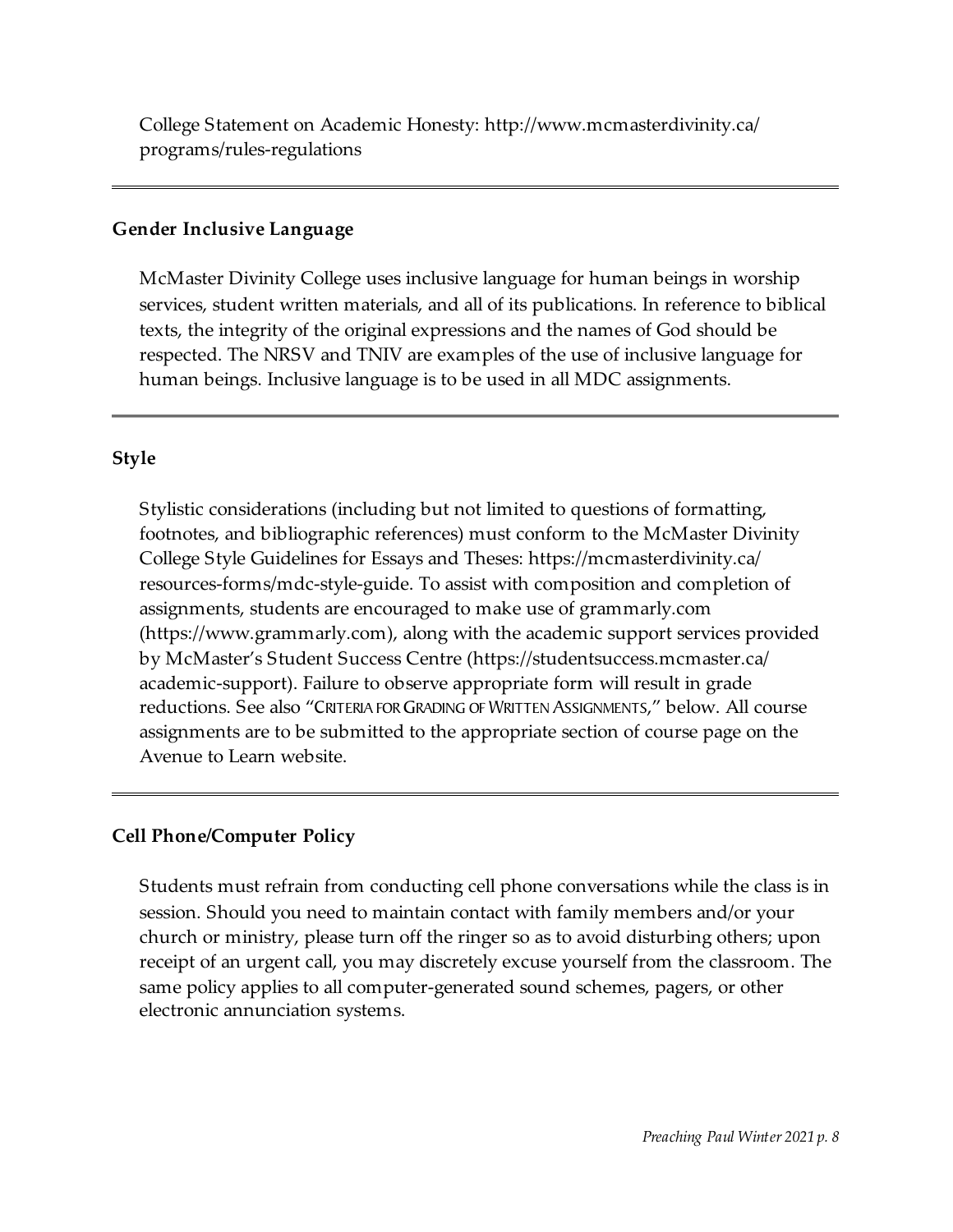College Statement on Academic Honesty: http://www.mcmasterdivinity.ca/ programs/rules-regulations

### **Gender Inclusive Language**

McMaster Divinity College uses inclusive language for human beings in worship services, student written materials, and all of its publications. In reference to biblical texts, the integrity of the original expressions and the names of God should be respected. The NRSV and TNIV are examples of the use of inclusive language for human beings. Inclusive language is to be used in all MDC assignments.

## **Style**

Stylistic considerations (including but not limited to questions of formatting, footnotes, and bibliographic references) must conform to the McMaster Divinity College Style Guidelines for Essays and Theses: https://mcmasterdivinity.ca/ resources-forms/mdc-style-guide. To assist with composition and completion of assignments, students are encouraged to make use of grammarly.com (https://www.grammarly.com), along with the academic support services provided by McMaster's Student Success Centre (https://studentsuccess.mcmaster.ca/ academic-support). Failure to observe appropriate form will result in grade reductions. See also "CRITERIA FORGRADING OF WRITTEN ASSIGNMENTS," below. All course assignments are to be submitted to the appropriate section of course page on the Avenue to Learn website.

## **Cell Phone/Computer Policy**

Students must refrain from conducting cell phone conversations while the class is in session. Should you need to maintain contact with family members and/or your church or ministry, please turn off the ringer so as to avoid disturbing others; upon receipt of an urgent call, you may discretely excuse yourself from the classroom. The same policy applies to all computer-generated sound schemes, pagers, or other electronic annunciation systems.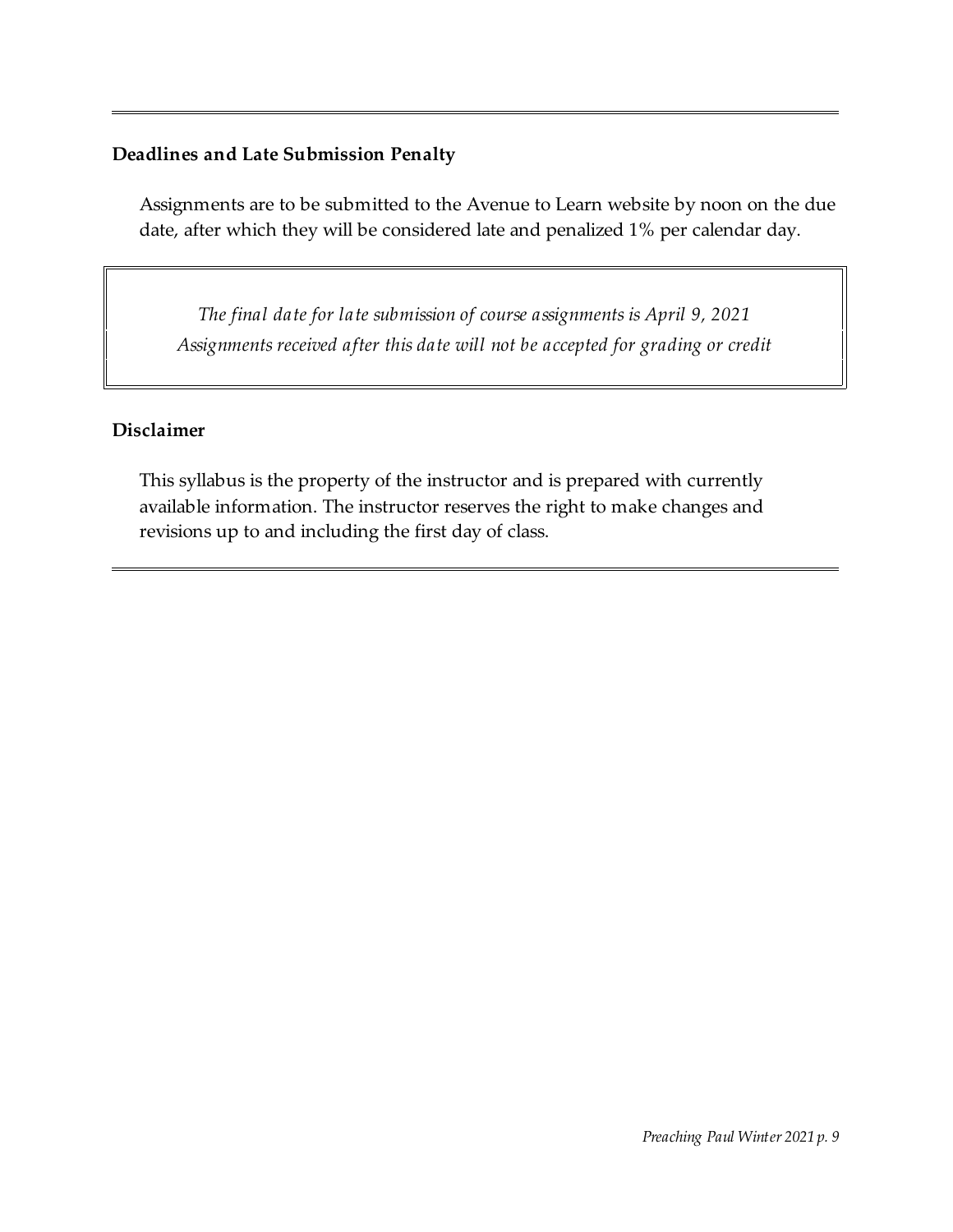## **Deadlines and Late Submission Penalty**

Assignments are to be submitted to the Avenue to Learn website by noon on the due date, after which they will be considered late and penalized 1% per calendar day.

*The final date for late submission of course assignments is April 9, 2021 Assignments received after this date will not be accepted for grading or credit*

### **Disclaimer**

This syllabus is the property of the instructor and is prepared with currently available information. The instructor reserves the right to make changes and revisions up to and including the first day of class.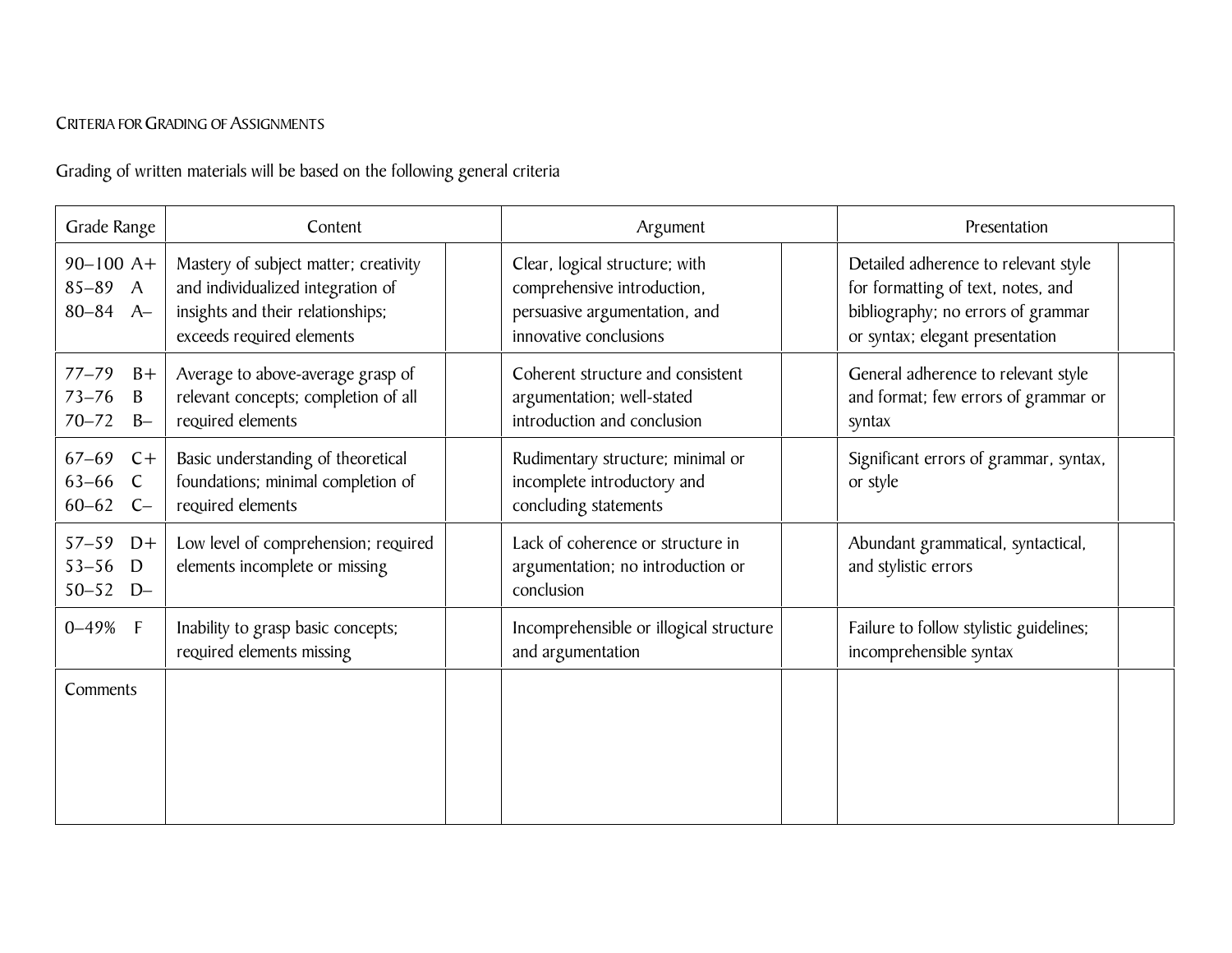## CRITERIA FOR GRADING OF ASSIGNMENTS

Grading of written materials will be based on the following general criteria

| Grade Range                                               | Content                                                                                                                                      | Argument                                                                                                                 | Presentation                                                                                                                                        |
|-----------------------------------------------------------|----------------------------------------------------------------------------------------------------------------------------------------------|--------------------------------------------------------------------------------------------------------------------------|-----------------------------------------------------------------------------------------------------------------------------------------------------|
| $90 - 100$ A+<br>$85 - 89$ A<br>$80 - 84$ A-              | Mastery of subject matter; creativity<br>and individualized integration of<br>insights and their relationships;<br>exceeds required elements | Clear, logical structure; with<br>comprehensive introduction,<br>persuasive argumentation, and<br>innovative conclusions | Detailed adherence to relevant style<br>for formatting of text, notes, and<br>bibliography; no errors of grammar<br>or syntax; elegant presentation |
| $77 - 79$<br>$B+$<br>$73 - 76$<br>B<br>$70 - 72$<br>$B -$ | Average to above-average grasp of<br>relevant concepts; completion of all<br>required elements                                               | Coherent structure and consistent<br>argumentation; well-stated<br>introduction and conclusion                           | General adherence to relevant style<br>and format; few errors of grammar or<br>syntax                                                               |
| $67 - 69$<br>$C +$<br>$63 - 66$ C<br>$60 - 62$ C-         | Basic understanding of theoretical<br>foundations; minimal completion of<br>required elements                                                | Rudimentary structure; minimal or<br>incomplete introductory and<br>concluding statements                                | Significant errors of grammar, syntax,<br>or style                                                                                                  |
| $57 - 59$<br>$D+$<br>$53 - 56$<br>D<br>$50 - 52$<br>$D -$ | Low level of comprehension; required<br>elements incomplete or missing                                                                       | Lack of coherence or structure in<br>argumentation; no introduction or<br>conclusion                                     | Abundant grammatical, syntactical,<br>and stylistic errors                                                                                          |
| $0 - 49%$ F                                               | Inability to grasp basic concepts;<br>required elements missing                                                                              | Incomprehensible or illogical structure<br>and argumentation                                                             | Failure to follow stylistic guidelines;<br>incomprehensible syntax                                                                                  |
| Comments                                                  |                                                                                                                                              |                                                                                                                          |                                                                                                                                                     |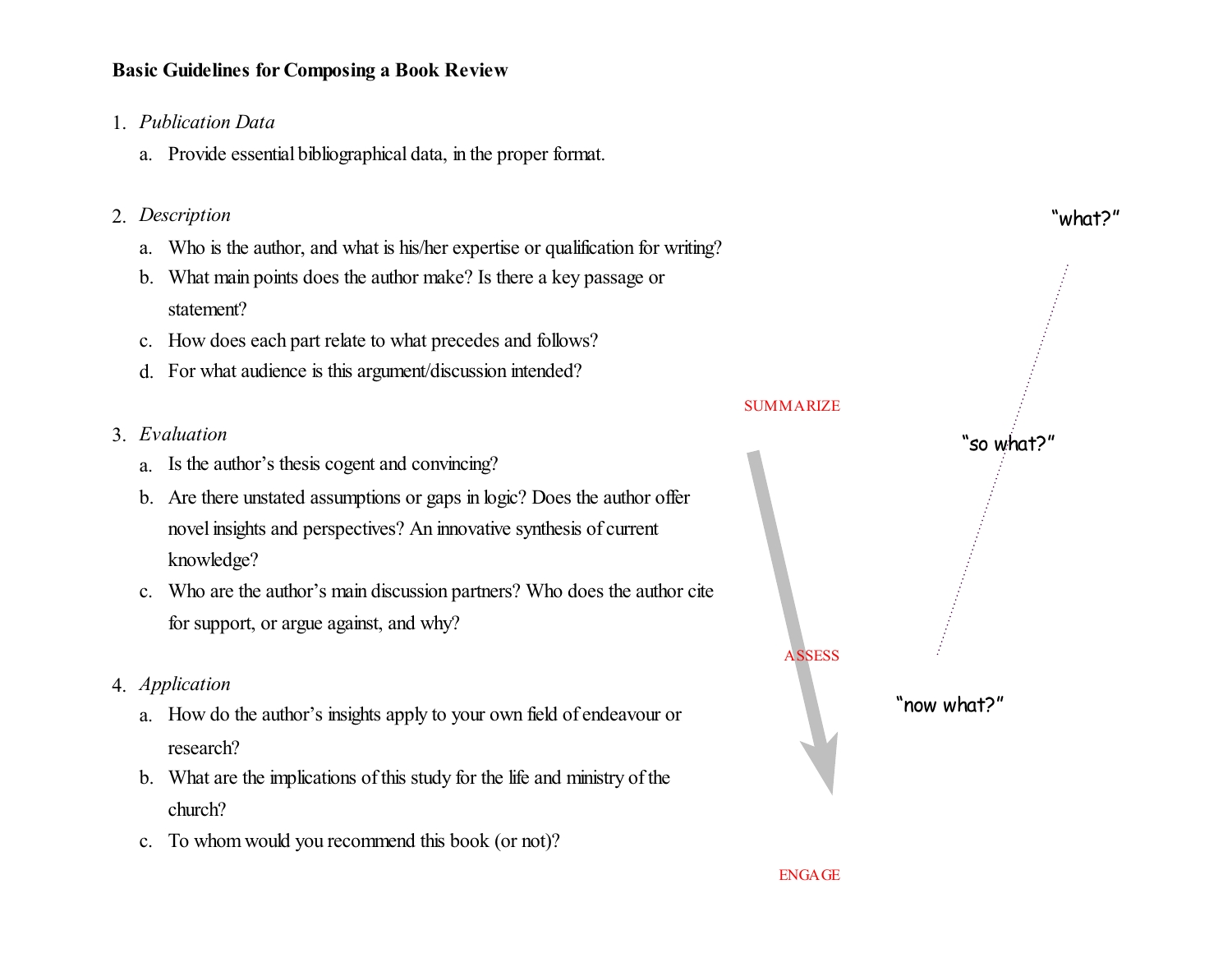## **Basic Guidelines for Composing a Book Review**

- 1. *Publication Data*
	- a. Provide essential bibliographical data, in the proper format.
- 2. *Description*
	- a. Who is the author, and what is his/her expertise or qualification for writing?
	- b. What main points does the author make? Is there a key passage or statement?
	- c. How does each part relate to what precedes and follows?
	- d. For what audience is this argument/discussion intended?
- 3. *Evaluation*
	- a. Is the author's thesis cogent and convincing?
	- b. Are there unstated assumptions or gaps in logic? Does the author offer novel insights and perspectives? An innovative synthesis of current knowledge?
	- c. Who are the author's main discussion partners? Who does the author cite for support, or argue against, and why?
- 4. *Application*
	- a. How do the author's insights apply to your own field of endeavour or research?
	- b. What are the implications of this study for the life and ministry of the church?
	- c. To whomwould you recommend this book (or not)?